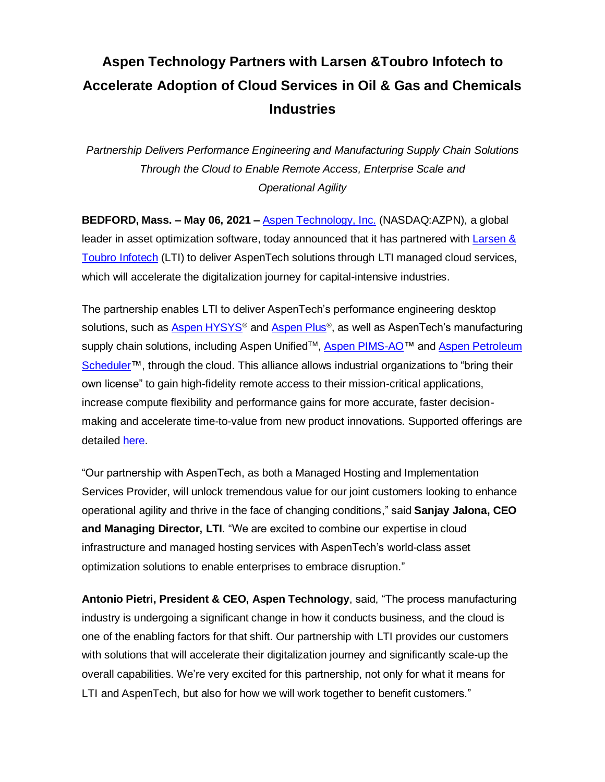## **Aspen Technology Partners with Larsen &Toubro Infotech to Accelerate Adoption of Cloud Services in Oil & Gas and Chemicals Industries**

*Partnership Delivers Performance Engineering and Manufacturing Supply Chain Solutions Through the Cloud to Enable Remote Access, Enterprise Scale and Operational Agility*

**BEDFORD, Mass. – May 06, 2021 –** [Aspen Technology, Inc.](http://www.aspentech.com/) (NASDAQ:AZPN), a global leader in asset optimization software, today announced that it has partnered with [Larsen &](https://www.lntinfotech.com/) Toubro [Infotech](https://www.lntinfotech.com/) (LTI) to deliver AspenTech solutions through LTI managed cloud services, which will accelerate the digitalization journey for capital-intensive industries.

The partnership enables LTI to deliver AspenTech's performance engineering desktop solutions, such as <u>[Aspen HYSYS](https://www.aspentech.com/en/products/engineering/aspen-hysys)®</u> and <u>Aspen Plus</u>®, as well as AspenTech's manufacturing supply chain solutions, including Aspen Unified™, [Aspen PIMS-AO™](https://www.aspentech.com/en/products/msc/aspen-pims-ao) and Aspen Petroleum [Scheduler™](https://www.aspentech.com/en/products/msc/aspen-petroleum-scheduler), through the cloud. This alliance allows industrial organizations to "bring their own license" to gain high-fidelity remote access to their mission-critical applications, increase compute flexibility and performance gains for more accurate, faster decisionmaking and accelerate time-to-value from new product innovations. Supported offerings are detailed [here.](https://www.lntinfotech.com/enterprise-solutions/aspentech/)

"Our partnership with AspenTech, as both a Managed Hosting and Implementation Services Provider, will unlock tremendous value for our joint customers looking to enhance operational agility and thrive in the face of changing conditions," said **Sanjay Jalona, CEO and Managing Director, LTI**. "We are excited to combine our expertise in cloud infrastructure and managed hosting services with AspenTech's world-class asset optimization solutions to enable enterprises to embrace disruption."

**Antonio Pietri, President & CEO, Aspen Technology**, said, "The process manufacturing industry is undergoing a significant change in how it conducts business, and the cloud is one of the enabling factors for that shift. Our partnership with LTI provides our customers with solutions that will accelerate their digitalization journey and significantly scale-up the overall capabilities. We're very excited for this partnership, not only for what it means for LTI and AspenTech, but also for how we will work together to benefit customers."